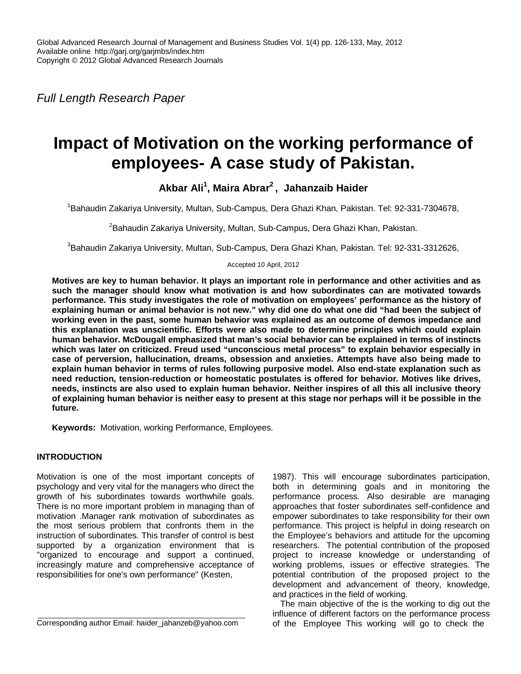*Full Length Research Paper*

# **Impact of Motivation on the working performance of employees- A case study of Pakistan.**

**Akbar Ali<sup>1</sup> , Maira Abrar<sup>2</sup> , Jahanzaib Haider**

<sup>1</sup>Bahaudin Zakariya University, Multan, Sub-Campus, Dera Ghazi Khan, Pakistan. Tel: 92-331-7304678,

<sup>2</sup>Bahaudin Zakariya University, Multan, Sub-Campus, Dera Ghazi Khan, Pakistan.

 $3$ Bahaudin Zakariya University, Multan, Sub-Campus, Dera Ghazi Khan, Pakistan. Tel: 92-331-3312626,

Accepted 10 April, 2012

**Motives are key to human behavior. It plays an important role in performance and other activities and as such the manager should know what motivation is and how subordinates can are motivated towards performance. This study investigates the role of motivation on employees' performance as the history of explaining human or animal behavior is not new." why did one do what one did "had been the subject of working even in the past, some human behavior was explained as an outcome of demos impedance and this explanation was unscientific. Efforts were also made to determine principles which could explain human behavior. McDougall emphasized that man's social behavior can be explained in terms of instincts which was later on criticized. Freud used "unconscious metal process" to explain behavior especially in case of perversion, hallucination, dreams, obsession and anxieties. Attempts have also being made to explain human behavior in terms of rules following purposive model. Also end-state explanation such as need reduction, tension-reduction or homeostatic postulates is offered for behavior. Motives like drives, needs, instincts are also used to explain human behavior. Neither inspires of all this all inclusive theory of explaining human behavior is neither easy to present at this stage nor perhaps will it be possible in the future.**

**Keywords:** Motivation, working Performance, Employees.

## **INTRODUCTION**

Motivation is one of the most important concepts of psychology and very vital for the managers who direct the growth of his subordinates towards worthwhile goals. There is no more important problem in managing than of motivation .Manager rank motivation of subordinates as the most serious problem that confronts them in the instruction of subordinates. This transfer of control is best supported by a organization environment that is "organized to encourage and support a continued, increasingly mature and comprehensive acceptance of responsibilities for one's own performance" (Kesten,

Corresponding author Email: haider\_jahanzeb@yahoo.com

1987). This will encourage subordinates participation, both in determining goals and in monitoring the performance process. Also desirable are managing approaches that foster subordinates self-confidence and empower subordinates to take responsibility for their own performance. This project is helpful in doing research on the Employee's behaviors and attitude for the upcoming researchers. The potential contribution of the proposed project to increase knowledge or understanding of working problems, issues or effective strategies. The potential contribution of the proposed project to the development and advancement of theory, knowledge, and practices in the field of working.

The main objective of the is the working to dig out the influence of different factors on the performance process of the Employee This working will go to check the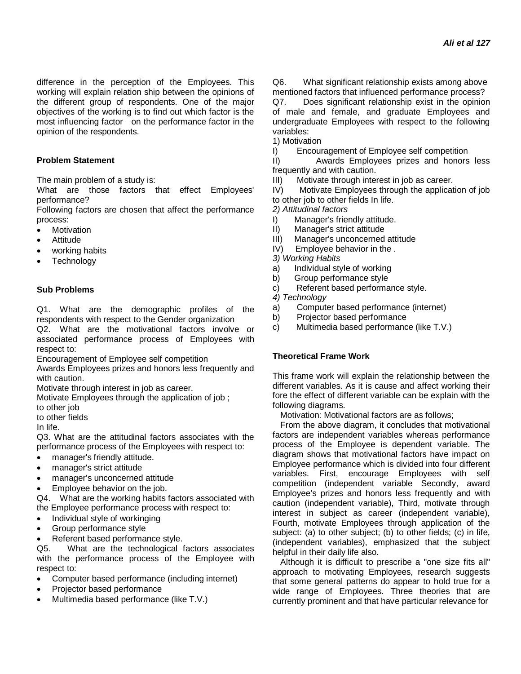difference in the perception of the Employees. This working will explain relation ship between the opinions of the different group of respondents. One of the major objectives of the working is to find out which factor is the most influencing factor on the performance factor in the opinion of the respondents.

## **Problem Statement**

The main problem of a study is:

What are those factors that effect Employees' performance?

Following factors are chosen that affect the performance process:

- Motivation
- Attitude
- working habits
- **Technology**

## **Sub Problems**

Q1. What are the demographic profiles of the respondents with respect to the Gender organization

Q2. What are the motivational factors involve or associated performance process of Employees with respect to:

Encouragement of Employee self competition

Awards Employees prizes and honors less frequently and with caution.

Motivate through interest in job as career.

Motivate Employees through the application of job ;

to other job

to other fields

In life.

Q3. What are the attitudinal factors associates with the performance process of the Employees with respect to:

- manager's friendly attitude.
- manager's strict attitude
- manager's unconcerned attitude
- Employee behavior on the job.

Q4. What are the working habits factors associated with the Employee performance process with respect to:

- Individual style of workinging
- Group performance style
- Referent based performance style.

Q5. What are the technological factors associates with the performance process of the Employee with respect to:

- Computer based performance (including internet)
- Projector based performance
- Multimedia based performance (like T.V.)

Q6. What significant relationship exists among above mentioned factors that influenced performance process?

Q7. Does significant relationship exist in the opinion of male and female, and graduate Employees and undergraduate Employees with respect to the following variables:

1) Motivation

I) Encouragement of Employee self competition

II) Awards Employees prizes and honors less frequently and with caution.

III) Motivate through interest in job as career.

IV) Motivate Employees through the application of job to other job to other fields In life.

*2) Attitudinal factors*

- I) Manager's friendly attitude.
- II) Manager's strict attitude
- III) Manager's unconcerned attitude<br>IV) Employee behavior in the.
- Employee behavior in the .

*3) Working Habits*

- a) Individual style of working
- b) Group performance style
- c) Referent based performance style.

*4) Technology*

- a) Computer based performance (internet)
- b) Projector based performance
- c) Multimedia based performance (like T.V.)

## **Theoretical Frame Work**

This frame work will explain the relationship between the different variables. As it is cause and affect working their fore the effect of different variable can be explain with the following diagrams.

Motivation: Motivational factors are as follows;

From the above diagram, it concludes that motivational factors are independent variables whereas performance process of the Employee is dependent variable. The diagram shows that motivational factors have impact on Employee performance which is divided into four different variables. First, encourage Employees with self competition (independent variable Secondly, award Employee's prizes and honors less frequently and with caution (independent variable), Third, motivate through interest in subject as career (independent variable), Fourth, motivate Employees through application of the subject: (a) to other subject; (b) to other fields; (c) in life, (independent variables), emphasized that the subject helpful in their daily life also.

Although it is difficult to prescribe a "one size fits all" approach to motivating Employees, research suggests that some general patterns do appear to hold true for a wide range of Employees. Three theories that are currently prominent and that have particular relevance for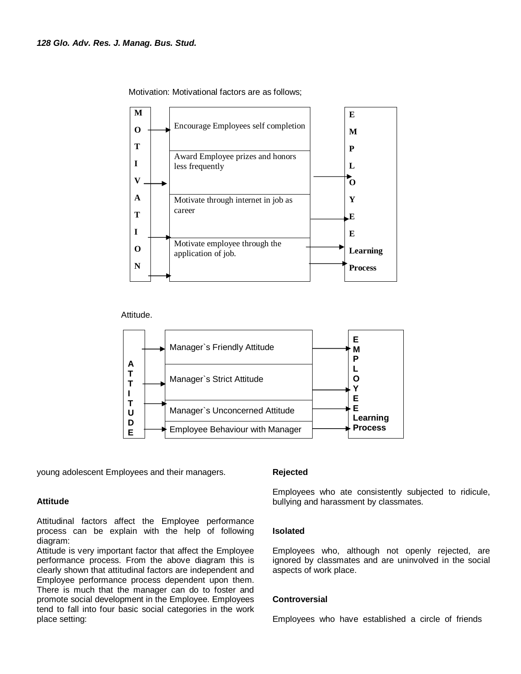

Motivation: Motivational factors are as follows;

Attitude.



young adolescent Employees and their managers.

## **Attitude**

Attitudinal factors affect the Employee performance process can be explain with the help of following diagram:

Attitude is very important factor that affect the Employee performance process. From the above diagram this is clearly shown that attitudinal factors are independent and Employee performance process dependent upon them. There is much that the manager can do to foster and promote social development in the Employee. Employees tend to fall into four basic social categories in the work place setting:

## **Rejected**

Employees who ate consistently subjected to ridicule, bullying and harassment by classmates.

## **Isolated**

Employees who, although not openly rejected, are ignored by classmates and are uninvolved in the social aspects of work place.

## **Controversial**

Employees who have established a circle of friends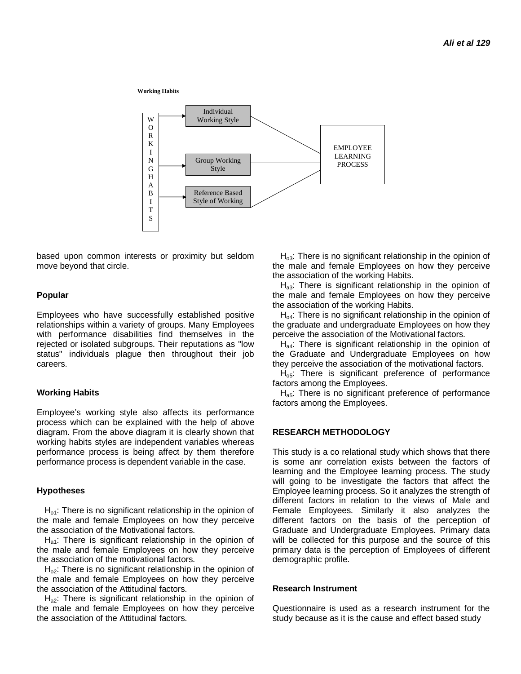**Working Habits**



based upon common interests or proximity but seldom move beyond that circle.

#### **Popular**

Employees who have successfully established positive relationships within a variety of groups. Many Employees with performance disabilities find themselves in the rejected or isolated subgroups. Their reputations as "low status" individuals plague then throughout their job careers.

#### **Working Habits**

Employee's working style also affects its performance process which can be explained with the help of above diagram. From the above diagram it is clearly shown that working habits styles are independent variables whereas performance process is being affect by them therefore performance process is dependent variable in the case.

#### **Hypotheses**

 $H<sub>o1</sub>$ : There is no significant relationship in the opinion of the male and female Employees on how they perceive the association of the Motivational factors.

 $H<sub>a1</sub>$ : There is significant relationship in the opinion of the male and female Employees on how they perceive the association of the motivational factors.

 $H<sub>02</sub>$ : There is no significant relationship in the opinion of the male and female Employees on how they perceive the association of the Attitudinal factors.

H<sub>a2</sub>: There is significant relationship in the opinion of the male and female Employees on how they perceive the association of the Attitudinal factors.

 $H<sub>o3</sub>$ : There is no significant relationship in the opinion of the male and female Employees on how they perceive the association of the working Habits.

H<sub>a3</sub>: There is significant relationship in the opinion of the male and female Employees on how they perceive the association of the working Habits.

 $H_{04}$ : There is no significant relationship in the opinion of the graduate and undergraduate Employees on how they perceive the association of the Motivational factors.

 $H<sub>ad</sub>$ : There is significant relationship in the opinion of the Graduate and Undergraduate Employees on how they perceive the association of the motivational factors.

 $H<sub>o5</sub>$ : There is significant preference of performance factors among the Employees.

 $H_{a5}$ : There is no significant preference of performance factors among the Employees.

#### **RESEARCH METHODOLOGY**

This study is a co relational study which shows that there is some anr correlation exists between the factors of learning and the Employee learning process. The study will going to be investigate the factors that affect the Employee learning process. So it analyzes the strength of different factors in relation to the views of Male and Female Employees. Similarly it also analyzes the different factors on the basis of the perception of Graduate and Undergraduate Employees. Primary data will be collected for this purpose and the source of this primary data is the perception of Employees of different demographic profile.

#### **Research Instrument**

Questionnaire is used as a research instrument for the study because as it is the cause and effect based study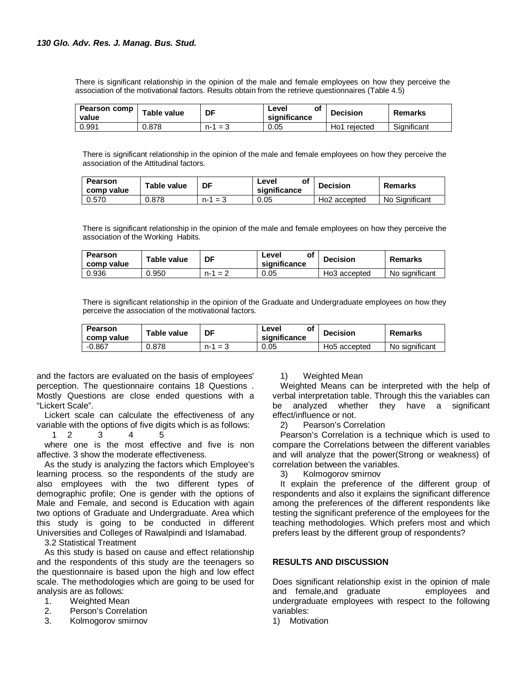There is significant relationship in the opinion of the male and female employees on how they perceive the association of the motivational factors. Results obtain from the retrieve questionnaires (Table 4.5)

| Pearson comp<br>value | Table value | DF                     | of<br>Level<br>significance | <b>Decision</b> | <b>Remarks</b> |
|-----------------------|-------------|------------------------|-----------------------------|-----------------|----------------|
| 0.991                 | 0.878       | $n-$<br>$=$<br>$\cdot$ | 0.05                        | rejected<br>Ho1 | Significant    |

There is significant relationship in the opinion of the male and female employees on how they perceive the association of the Attitudinal factors.

| <b>Pearson</b><br>comp value | Table value | DF           | of<br>Level<br>significance | <b>Decision</b>          | Remarks        |
|------------------------------|-------------|--------------|-----------------------------|--------------------------|----------------|
| 0.570                        | 0.878       | $=$ 3<br>n-1 | 0.05                        | Ho <sub>2</sub> accepted | No Significant |

There is significant relationship in the opinion of the male and female employees on how they perceive the association of the Working Habits.

| <b>Pearson</b><br>comp value | Table value | DF           | Level<br>significance | <b>Decision</b> | Remarks        |
|------------------------------|-------------|--------------|-----------------------|-----------------|----------------|
| 0.936                        | 0.950       | $= 2$<br>n-1 | 0.05                  | Ho3 accepted    | No significant |

There is significant relationship in the opinion of the Graduate and Undergraduate employees on how they perceive the association of the motivational factors.

| Pearson<br>comp value | Table value | DF         | οf<br>Level<br>significance | <b>Decision</b>          | <b>Remarks</b> |
|-----------------------|-------------|------------|-----------------------------|--------------------------|----------------|
| $-0.867$              | 0.878       | n-1<br>$=$ | 0.05                        | Ho <sub>5</sub> accepted | No significant |

and the factors are evaluated on the basis of employees' perception. The questionnaire contains 18 Questions . Mostly Questions are close ended questions with a "Lickert Scale".

Lickert scale can calculate the effectiveness of any variable with the options of five digits which is as follows:

1 2 3 4 5

where one is the most effective and five is non affective. 3 show the moderate effectiveness.

As the study is analyzing the factors which Employee's learning process. so the respondents of the study are also employees with the two different types of demographic profile; One is gender with the options of Male and Female, and second is Education with again two options of Graduate and Undergraduate. Area which this study is going to be conducted in different Universities and Colleges of Rawalpindi and Islamabad.

3.2 Statistical Treatment

As this study is based on cause and effect relationship and the respondents of this study are the teenagers so the questionnaire is based upon the high and low effect scale. The methodologies which are going to be used for analysis are as follows:

- 1. Weighted Mean
- 2. Person's Correlation
- 3. Kolmogorov smirnov

## 1) Weighted Mean

Weighted Means can be interpreted with the help of verbal interpretation table. Through this the variables can be analyzed whether they have a significant effect/influence or not.

2) Pearson's Correlation

Pearson's Correlation is a technique which is used to compare the Correlations between the different variables and will analyze that the power(Strong or weakness) of correlation between the variables.

3) Kolmogorov smirnov

It explain the preference of the different group of respondents and also it explains the significant difference among the preferences of the different respondents like testing the significant preference of the employees for the teaching methodologies. Which prefers most and which prefers least by the different group of respondents?

## **RESULTS AND DISCUSSION**

Does significant relationship exist in the opinion of male and female,and graduate employees and undergraduate employees with respect to the following variables:

1) Motivation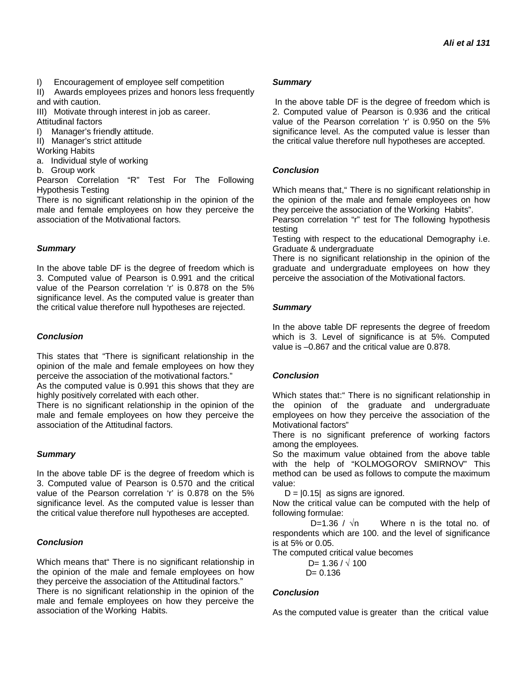I) Encouragement of employee self competition

II) Awards employees prizes and honors less frequently and with caution.

III) Motivate through interest in job as career. Attitudinal factors

I) Manager's friendly attitude.

II) Manager's strict attitude

Working Habits

a. Individual style of working

b. Group work

Pearson Correlation "R" Test For The Following Hypothesis Testing

There is no significant relationship in the opinion of the male and female employees on how they perceive the association of the Motivational factors.

# *Summary*

In the above table DF is the degree of freedom which is 3. Computed value of Pearson is 0.991 and the critical value of the Pearson correlation 'r' is 0.878 on the 5% significance level. As the computed value is greater than the critical value therefore null hypotheses are rejected.

# *Conclusion*

This states that "There is significant relationship in the opinion of the male and female employees on how they perceive the association of the motivational factors."

As the computed value is 0.991 this shows that they are highly positively correlated with each other.

There is no significant relationship in the opinion of the male and female employees on how they perceive the association of the Attitudinal factors.

## *Summary*

In the above table DF is the degree of freedom which is 3. Computed value of Pearson is 0.570 and the critical value of the Pearson correlation 'r' is 0.878 on the 5% significance level. As the computed value is lesser than the critical value therefore null hypotheses are accepted.

## *Conclusion*

Which means that" There is no significant relationship in the opinion of the male and female employees on how they perceive the association of the Attitudinal factors." There is no significant relationship in the opinion of the male and female employees on how they perceive the association of the Working Habits.

## *Summary*

In the above table DF is the degree of freedom which is 2. Computed value of Pearson is 0.936 and the critical value of the Pearson correlation 'r' is 0.950 on the 5% significance level. As the computed value is lesser than the critical value therefore null hypotheses are accepted.

# *Conclusion*

Which means that," There is no significant relationship in the opinion of the male and female employees on how they perceive the association of the Working Habits".

Pearson correlation "r" test for The following hypothesis testing

Testing with respect to the educational Demography i.e. Graduate & undergraduate

There is no significant relationship in the opinion of the graduate and undergraduate employees on how they perceive the association of the Motivational factors.

# *Summary*

In the above table DF represents the degree of freedom which is 3. Level of significance is at 5%. Computed value is –0.867 and the critical value are 0.878.

## *Conclusion*

Which states that:" There is no significant relationship in the opinion of the graduate and undergraduate employees on how they perceive the association of the Motivational factors"

There is no significant preference of working factors among the employees.

So the maximum value obtained from the above table with the help of "KOLMOGOROV SMIRNOV" This method can be used as follows to compute the maximum value:

 $D = |0.15|$  as signs are ignored.

Now the critical value can be computed with the help of following formulae:

D=1.36 /  $\sqrt{n}$  Where n is the total no. of respondents which are 100. and the level of significance is at 5% or 0.05.

The computed critical value becomes

D= 1.36 /  $\sqrt{100}$  $D = 0.136$ 

## *Conclusion*

As the computed value is greater than the critical value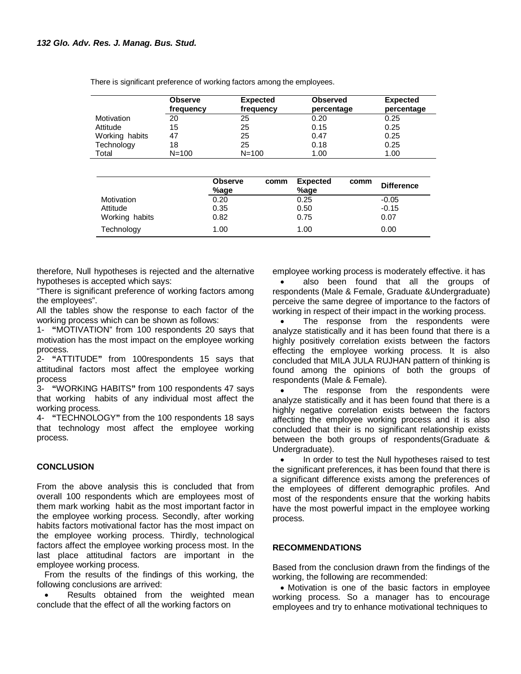There is significant preference of working factors among the employees.

|                | <b>Observe</b><br>frequency | <b>Expected</b><br>frequency | <b>Observed</b><br>percentage | <b>Expected</b><br>percentage |
|----------------|-----------------------------|------------------------------|-------------------------------|-------------------------------|
| Motivation     | 20                          | 25                           | 0.20                          | 0.25                          |
| Attitude       | 15                          | 25                           | 0.15                          | 0.25                          |
| Working habits | 47                          | 25                           | 0.47                          | 0.25                          |
| Technology     | 18                          | 25                           | 0.18                          | 0.25                          |
| Total          | $N = 100$                   | $N = 100$                    | 1.00                          | 1.00                          |

|                | <b>Observe</b><br>%age | comm | <b>Expected</b><br>%age | comm | <b>Difference</b> |
|----------------|------------------------|------|-------------------------|------|-------------------|
| Motivation     | 0.20                   |      | 0.25                    |      | $-0.05$           |
| Attitude       | 0.35                   |      | 0.50                    |      | $-0.15$           |
| Working habits | 0.82                   |      | 0.75                    |      | 0.07              |
| Technology     | 1.00                   |      | 1.00                    |      | 0.00              |

therefore, Null hypotheses is rejected and the alternative hypotheses is accepted which says:

"There is significant preference of working factors among the employees".

All the tables show the response to each factor of the working process which can be shown as follows:

1- **"**MOTIVATION" from 100 respondents 20 says that motivation has the most impact on the employee working process.

2- **"**ATTITUDE**"** from 100respondents 15 says that attitudinal factors most affect the employee working process

3- **"**WORKING HABITS**"** from 100 respondents 47 says that working habits of any individual most affect the working process.

4- **"**TECHNOLOGY**"** from the 100 respondents 18 says that technology most affect the employee working process.

## **CONCLUSION**

From the above analysis this is concluded that from overall 100 respondents which are employees most of them mark working habit as the most important factor in the employee working process. Secondly, after working habits factors motivational factor has the most impact on the employee working process. Thirdly, technological factors affect the employee working process most. In the last place attitudinal factors are important in the employee working process.

From the results of the findings of this working, the following conclusions are arrived:

 Results obtained from the weighted mean conclude that the effect of all the working factors on

employee working process is moderately effective. it has

 also been found that all the groups of respondents (Male & Female, Graduate &Undergraduate) perceive the same degree of importance to the factors of working in respect of their impact in the working process.

 The response from the respondents were analyze statistically and it has been found that there is a highly positively correlation exists between the factors effecting the employee working process. It is also concluded that MILA JULA RUJHAN pattern of thinking is found among the opinions of both the groups of respondents (Male & Female).

 The response from the respondents were analyze statistically and it has been found that there is a highly negative correlation exists between the factors affecting the employee working process and it is also concluded that their is no significant relationship exists between the both groups of respondents(Graduate & Undergraduate).

 In order to test the Null hypotheses raised to test the significant preferences, it has been found that there is a significant difference exists among the preferences of the employees of different demographic profiles. And most of the respondents ensure that the working habits have the most powerful impact in the employee working process.

## **RECOMMENDATIONS**

Based from the conclusion drawn from the findings of the working, the following are recommended:

 Motivation is one of the basic factors in employee working process. So a manager has to encourage employees and try to enhance motivational techniques to